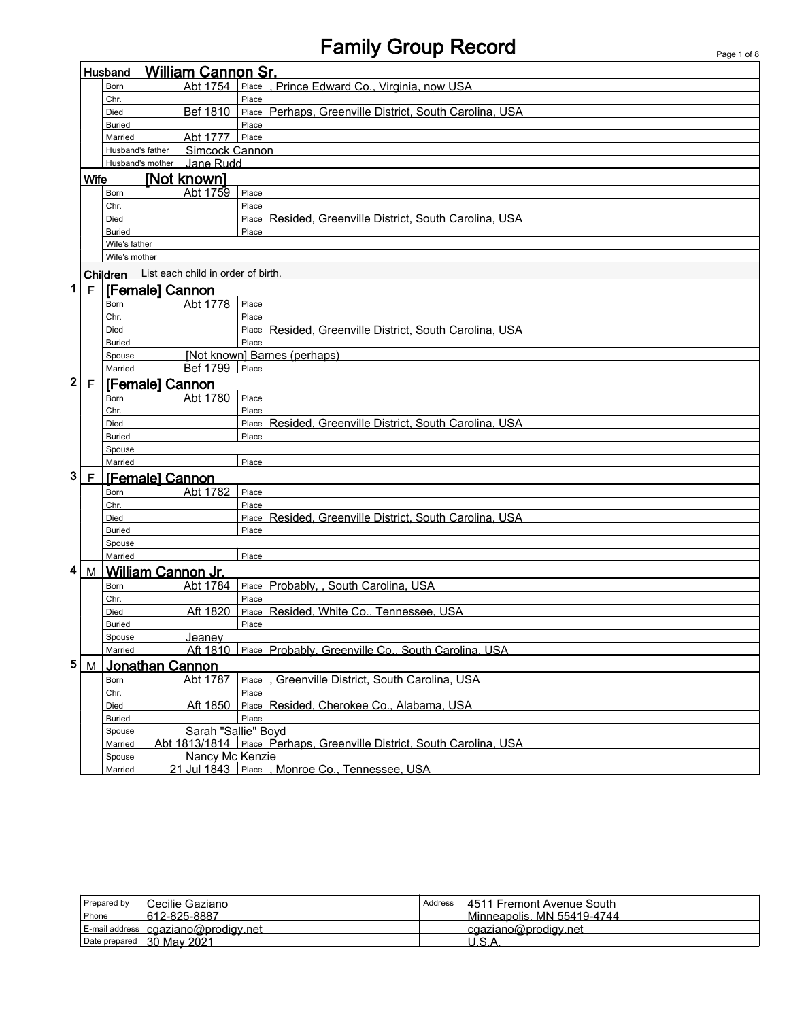## Family Group Record Page 1 of 8

|   |              | <b>William Cannon Sr.</b><br>Husband        |                                                                       |
|---|--------------|---------------------------------------------|-----------------------------------------------------------------------|
|   |              | Abt 1754<br>Born                            | Place, Prince Edward Co., Virginia, now USA                           |
|   |              | Chr.                                        | Place                                                                 |
|   |              | Bef 1810<br>Died                            | Place Perhaps, Greenville District, South Carolina, USA               |
|   |              | <b>Buried</b>                               | Place                                                                 |
|   |              | Abt 1777<br>Married                         | Place                                                                 |
|   |              | Simcock Cannon<br>Husband's father          |                                                                       |
|   |              | Jane Rudd<br>Husband's mother               |                                                                       |
|   | <b>Wife</b>  | <b>INot known]</b>                          |                                                                       |
|   |              | Abt 1759<br>Born                            | Place                                                                 |
|   |              | Chr.                                        | Place                                                                 |
|   |              | Died                                        | Place Resided, Greenville District, South Carolina, USA               |
|   |              | <b>Buried</b>                               | Place                                                                 |
|   |              | Wife's father                               |                                                                       |
|   |              | Wife's mother                               |                                                                       |
|   |              | Children List each child in order of birth. |                                                                       |
| 1 | $\mathsf{F}$ | <b>[Female] Cannon</b>                      |                                                                       |
|   |              | Abt 1778<br>Born                            | Place                                                                 |
|   |              | Chr.                                        | Place                                                                 |
|   |              | Died                                        | Place Resided, Greenville District, South Carolina, USA               |
|   |              | <b>Buried</b>                               | Place                                                                 |
|   |              | Spouse                                      | [Not known] Barnes (perhaps)                                          |
|   |              | Bef 1799<br>Married                         | Place                                                                 |
| 2 | F            | [Female] Cannon                             |                                                                       |
|   |              | Abt 1780<br>Born                            | Place                                                                 |
|   |              | Chr.                                        | Place                                                                 |
|   |              | Died                                        | Place Resided, Greenville District, South Carolina, USA               |
|   |              | <b>Buried</b>                               | Place                                                                 |
|   |              | Spouse                                      |                                                                       |
|   |              | Married                                     | Place                                                                 |
| 3 | F            | <b>[Female] Cannon</b>                      |                                                                       |
|   |              | Abt 1782<br>Born                            | Place                                                                 |
|   |              | Chr.                                        | Place                                                                 |
|   |              | Died                                        | Place Resided, Greenville District, South Carolina, USA               |
|   |              | <b>Buried</b>                               | Place                                                                 |
|   |              | Spouse                                      |                                                                       |
|   |              | Married                                     | Place                                                                 |
| 4 | M            | William Cannon Jr.                          |                                                                       |
|   |              | Abt 1784<br>Born                            | Place Probably, , South Carolina, USA                                 |
|   |              | Chr.                                        | Place                                                                 |
|   |              | Aft 1820<br>Died                            | Place Resided, White Co., Tennessee, USA                              |
|   |              | <b>Buried</b>                               | Place                                                                 |
|   |              | Spouse<br><u>Jeanev</u>                     |                                                                       |
|   |              | Married                                     | Aft 1810 Place Probably, Greenville Co., South Carolina, USA          |
| 5 |              | M Jonathan Cannon                           |                                                                       |
|   |              | Abt 1787<br>Born                            | Greenville District, South Carolina, USA<br>Place                     |
|   |              | Chr.                                        | Place                                                                 |
|   |              | Aft 1850<br>Died                            | Place Resided, Cherokee Co., Alabama, USA                             |
|   |              | <b>Buried</b>                               | Place                                                                 |
|   |              | Sarah "Sallie" Boyd<br>Spouse               |                                                                       |
|   |              | Married                                     | Abt 1813/1814 Place Perhaps, Greenville District, South Carolina, USA |
|   |              | Nancy Mc Kenzie<br>Spouse                   |                                                                       |
|   |              | Married                                     | 21 Jul 1843 Place , Monroe Co., Tennessee, USA                        |

| Cecilie Gaziano<br>Prepared by         | 4511 Fremont Avenue South<br>Address |
|----------------------------------------|--------------------------------------|
| Phone<br>612-825-8887                  | Minneapolis, MN 55419-4744           |
| $E$ -mail address cgaziano@prodigy.net | cgaziano@prodigy.net                 |
| Date prepared 30 May 2021              | 11 C <i>I</i>                        |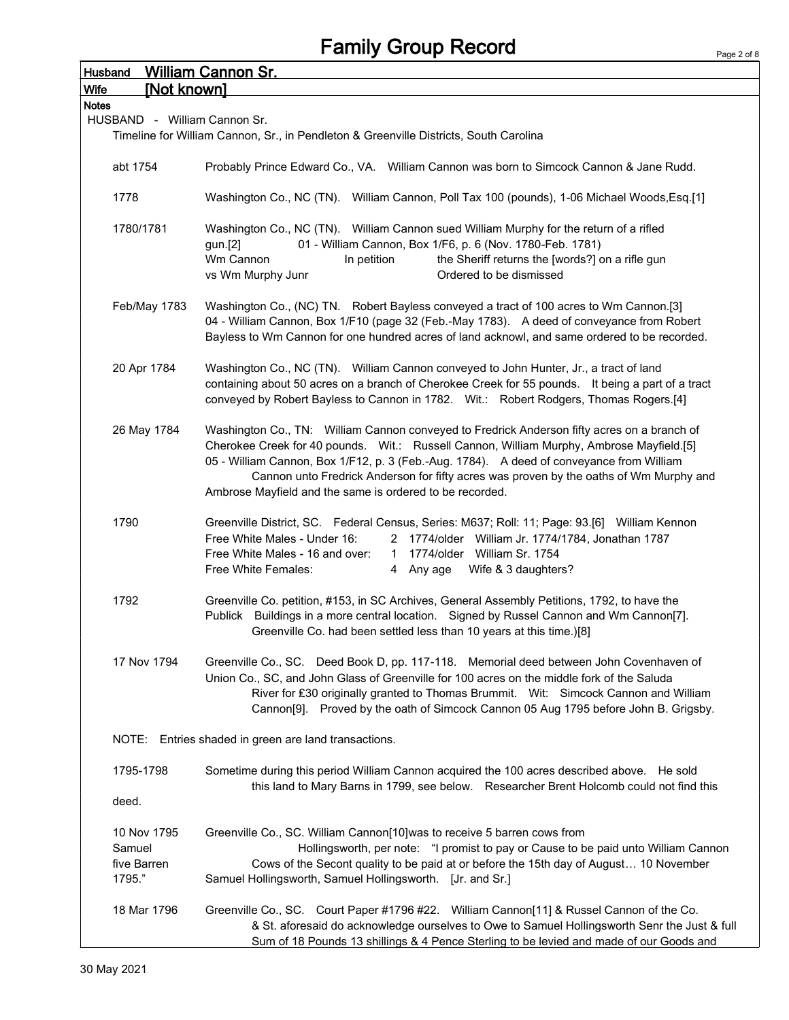| <b>Husband</b>                                 | <b>William Cannon Sr.</b>                                                                                                                                                                                                                                                                                                                                                                                                                 |
|------------------------------------------------|-------------------------------------------------------------------------------------------------------------------------------------------------------------------------------------------------------------------------------------------------------------------------------------------------------------------------------------------------------------------------------------------------------------------------------------------|
| [Not known]<br><b>Wife</b>                     |                                                                                                                                                                                                                                                                                                                                                                                                                                           |
| <b>Notes</b>                                   |                                                                                                                                                                                                                                                                                                                                                                                                                                           |
| HUSBAND - William Cannon Sr.                   |                                                                                                                                                                                                                                                                                                                                                                                                                                           |
|                                                | Timeline for William Cannon, Sr., in Pendleton & Greenville Districts, South Carolina                                                                                                                                                                                                                                                                                                                                                     |
| abt 1754                                       | Probably Prince Edward Co., VA. William Cannon was born to Simcock Cannon & Jane Rudd.                                                                                                                                                                                                                                                                                                                                                    |
| 1778                                           | Washington Co., NC (TN). William Cannon, Poll Tax 100 (pounds), 1-06 Michael Woods, Esq.[1]                                                                                                                                                                                                                                                                                                                                               |
| 1780/1781                                      | Washington Co., NC (TN). William Cannon sued William Murphy for the return of a rifled<br>01 - William Cannon, Box 1/F6, p. 6 (Nov. 1780-Feb. 1781)<br>gun.[2]<br>Wm Cannon<br>In petition<br>the Sheriff returns the [words?] on a rifle gun<br>vs Wm Murphy Junr<br>Ordered to be dismissed                                                                                                                                             |
| Feb/May 1783                                   | Washington Co., (NC) TN. Robert Bayless conveyed a tract of 100 acres to Wm Cannon.[3]<br>04 - William Cannon, Box 1/F10 (page 32 (Feb.-May 1783). A deed of conveyance from Robert<br>Bayless to Wm Cannon for one hundred acres of land acknowl, and same ordered to be recorded.                                                                                                                                                       |
| 20 Apr 1784                                    | Washington Co., NC (TN). William Cannon conveyed to John Hunter, Jr., a tract of land<br>containing about 50 acres on a branch of Cherokee Creek for 55 pounds. It being a part of a tract<br>conveyed by Robert Bayless to Cannon in 1782. Wit.: Robert Rodgers, Thomas Rogers.[4]                                                                                                                                                       |
| 26 May 1784                                    | Washington Co., TN: William Cannon conveyed to Fredrick Anderson fifty acres on a branch of<br>Cherokee Creek for 40 pounds. Wit.: Russell Cannon, William Murphy, Ambrose Mayfield.[5]<br>05 - William Cannon, Box 1/F12, p. 3 (Feb.-Aug. 1784). A deed of conveyance from William<br>Cannon unto Fredrick Anderson for fifty acres was proven by the oaths of Wm Murphy and<br>Ambrose Mayfield and the same is ordered to be recorded. |
| 1790                                           | Greenville District, SC. Federal Census, Series: M637; Roll: 11; Page: 93.[6] William Kennon<br>Free White Males - Under 16:<br>2 1774/older William Jr. 1774/1784, Jonathan 1787<br>1 1774/older William Sr. 1754<br>Free White Males - 16 and over:<br>4 Any age Wife & 3 daughters?<br>Free White Females:                                                                                                                             |
| 1792                                           | Greenville Co. petition, #153, in SC Archives, General Assembly Petitions, 1792, to have the<br>Publick Buildings in a more central location. Signed by Russel Cannon and Wm Cannon[7].<br>Greenville Co. had been settled less than 10 years at this time.)[8]                                                                                                                                                                           |
| 17 Nov 1794                                    | Greenville Co., SC. Deed Book D, pp. 117-118. Memorial deed between John Covenhaven of<br>Union Co., SC, and John Glass of Greenville for 100 acres on the middle fork of the Saluda<br>River for £30 originally granted to Thomas Brummit. Wit: Simcock Cannon and William<br>Cannon[9]. Proved by the oath of Simcock Cannon 05 Aug 1795 before John B. Grigsby.                                                                        |
|                                                | NOTE: Entries shaded in green are land transactions.                                                                                                                                                                                                                                                                                                                                                                                      |
| 1795-1798<br>deed.                             | Sometime during this period William Cannon acquired the 100 acres described above. He sold<br>this land to Mary Barns in 1799, see below. Researcher Brent Holcomb could not find this                                                                                                                                                                                                                                                    |
|                                                |                                                                                                                                                                                                                                                                                                                                                                                                                                           |
| 10 Nov 1795<br>Samuel<br>five Barren<br>1795." | Greenville Co., SC. William Cannon[10] was to receive 5 barren cows from<br>Hollingsworth, per note: "I promist to pay or Cause to be paid unto William Cannon<br>Cows of the Secont quality to be paid at or before the 15th day of August 10 November<br>Samuel Hollingsworth, Samuel Hollingsworth. [Jr. and Sr.]                                                                                                                      |
| 18 Mar 1796                                    | Greenville Co., SC. Court Paper #1796 #22. William Cannon[11] & Russel Cannon of the Co.<br>& St. aforesaid do acknowledge ourselves to Owe to Samuel Hollingsworth Senr the Just & full<br>Sum of 18 Pounds 13 shillings & 4 Pence Sterling to be levied and made of our Goods and                                                                                                                                                       |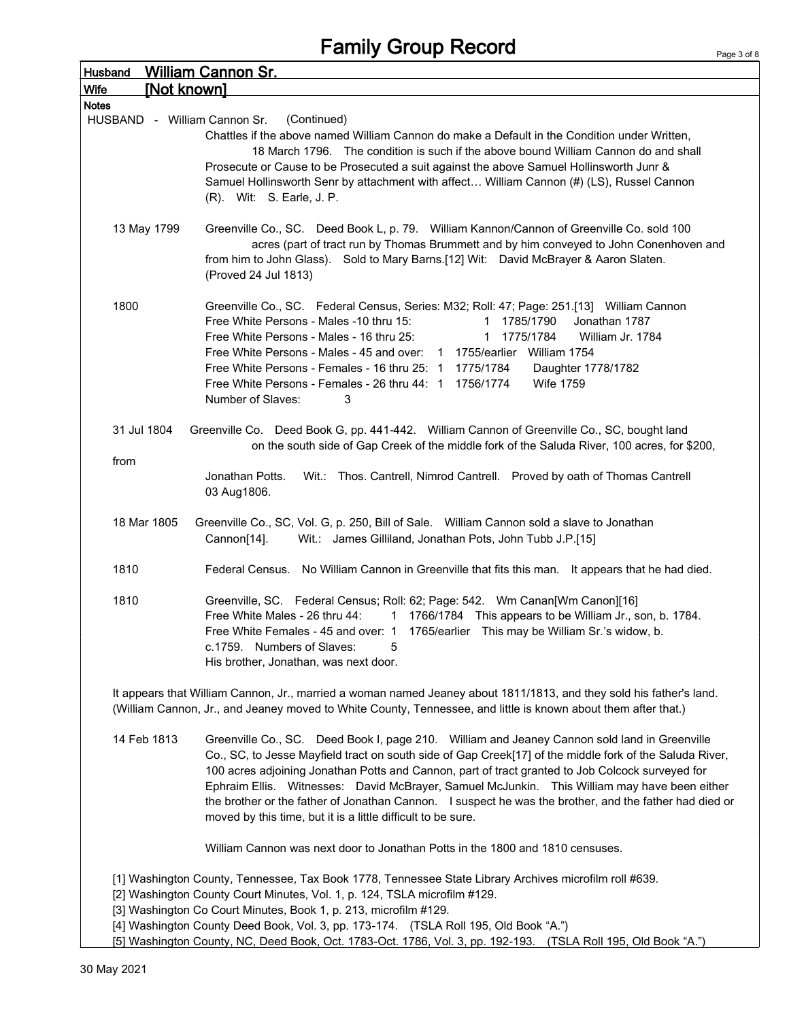| Husband                      | <b>William Cannon Sr.</b>                                                                                                                                                                                                                                                                                                                                                                                                                                                                                                                                                             |  |  |  |  |  |  |  |
|------------------------------|---------------------------------------------------------------------------------------------------------------------------------------------------------------------------------------------------------------------------------------------------------------------------------------------------------------------------------------------------------------------------------------------------------------------------------------------------------------------------------------------------------------------------------------------------------------------------------------|--|--|--|--|--|--|--|
| [Not known]<br>Wife          |                                                                                                                                                                                                                                                                                                                                                                                                                                                                                                                                                                                       |  |  |  |  |  |  |  |
| <b>Notes</b>                 |                                                                                                                                                                                                                                                                                                                                                                                                                                                                                                                                                                                       |  |  |  |  |  |  |  |
| HUSBAND - William Cannon Sr. | (Continued)<br>Chattles if the above named William Cannon do make a Default in the Condition under Written,<br>18 March 1796. The condition is such if the above bound William Cannon do and shall<br>Prosecute or Cause to be Prosecuted a suit against the above Samuel Hollinsworth Junr &<br>Samuel Hollinsworth Senr by attachment with affect William Cannon (#) (LS), Russel Cannon<br>(R). Wit: S. Earle, J. P.                                                                                                                                                               |  |  |  |  |  |  |  |
| 13 May 1799                  | Greenville Co., SC. Deed Book L, p. 79. William Kannon/Cannon of Greenville Co. sold 100<br>acres (part of tract run by Thomas Brummett and by him conveyed to John Conenhoven and<br>from him to John Glass). Sold to Mary Barns.[12] Wit: David McBrayer & Aaron Slaten.<br>(Proved 24 Jul 1813)                                                                                                                                                                                                                                                                                    |  |  |  |  |  |  |  |
| 1800                         | Greenville Co., SC. Federal Census, Series: M32; Roll: 47; Page: 251.[13] William Cannon<br>Free White Persons - Males -10 thru 15:<br>1 1785/1790<br>Jonathan 1787<br>Free White Persons - Males - 16 thru 25:<br>1775/1784<br>William Jr. 1784<br>1<br>Free White Persons - Males - 45 and over: 1 1755/earlier William 1754<br>Free White Persons - Females - 16 thru 25: 1 1775/1784<br>Daughter 1778/1782<br>Free White Persons - Females - 26 thru 44: 1 1756/1774<br><b>Wife 1759</b><br>Number of Slaves:<br>3                                                                |  |  |  |  |  |  |  |
| 31 Jul 1804                  | Greenville Co. Deed Book G, pp. 441-442. William Cannon of Greenville Co., SC, bought land<br>on the south side of Gap Creek of the middle fork of the Saluda River, 100 acres, for \$200,                                                                                                                                                                                                                                                                                                                                                                                            |  |  |  |  |  |  |  |
| from                         | Wit.: Thos. Cantrell, Nimrod Cantrell. Proved by oath of Thomas Cantrell<br>Jonathan Potts.<br>03 Aug1806.                                                                                                                                                                                                                                                                                                                                                                                                                                                                            |  |  |  |  |  |  |  |
| 18 Mar 1805                  | Greenville Co., SC, Vol. G, p. 250, Bill of Sale.  William Cannon sold a slave to Jonathan<br>Wit.: James Gilliland, Jonathan Pots, John Tubb J.P.[15]<br>Cannon[14].                                                                                                                                                                                                                                                                                                                                                                                                                 |  |  |  |  |  |  |  |
| 1810                         | Federal Census. No William Cannon in Greenville that fits this man. It appears that he had died.                                                                                                                                                                                                                                                                                                                                                                                                                                                                                      |  |  |  |  |  |  |  |
| 1810                         | Greenville, SC. Federal Census; Roll: 62; Page: 542. Wm Canan[Wm Canon][16]<br>Free White Males - 26 thru 44:<br>1 1766/1784 This appears to be William Jr., son, b. 1784.<br>Free White Females - 45 and over: 1 1765/earlier This may be William Sr.'s widow, b.<br>c.1759. Numbers of Slaves:<br>5<br>His brother, Jonathan, was next door.                                                                                                                                                                                                                                        |  |  |  |  |  |  |  |
|                              | It appears that William Cannon, Jr., married a woman named Jeaney about 1811/1813, and they sold his father's land.<br>(William Cannon, Jr., and Jeaney moved to White County, Tennessee, and little is known about them after that.)                                                                                                                                                                                                                                                                                                                                                 |  |  |  |  |  |  |  |
| 14 Feb 1813                  | Greenville Co., SC. Deed Book I, page 210. William and Jeaney Cannon sold land in Greenville<br>Co., SC, to Jesse Mayfield tract on south side of Gap Creek[17] of the middle fork of the Saluda River,<br>100 acres adjoining Jonathan Potts and Cannon, part of tract granted to Job Colcock surveyed for<br>Ephraim Ellis. Witnesses: David McBrayer, Samuel McJunkin. This William may have been either<br>the brother or the father of Jonathan Cannon. I suspect he was the brother, and the father had died or<br>moved by this time, but it is a little difficult to be sure. |  |  |  |  |  |  |  |
|                              | William Cannon was next door to Jonathan Potts in the 1800 and 1810 censuses.                                                                                                                                                                                                                                                                                                                                                                                                                                                                                                         |  |  |  |  |  |  |  |
|                              | [1] Washington County, Tennessee, Tax Book 1778, Tennessee State Library Archives microfilm roll #639.<br>[2] Washington County Court Minutes, Vol. 1, p. 124, TSLA microfilm #129.<br>[3] Washington Co Court Minutes, Book 1, p. 213, microfilm #129.<br>[4] Washington County Deed Book, Vol. 3, pp. 173-174. (TSLA Roll 195, Old Book "A.")<br>[5] Washington County, NC, Deed Book, Oct. 1783-Oct. 1786, Vol. 3, pp. 192-193. (TSLA Roll 195, Old Book "A.")                                                                                                                     |  |  |  |  |  |  |  |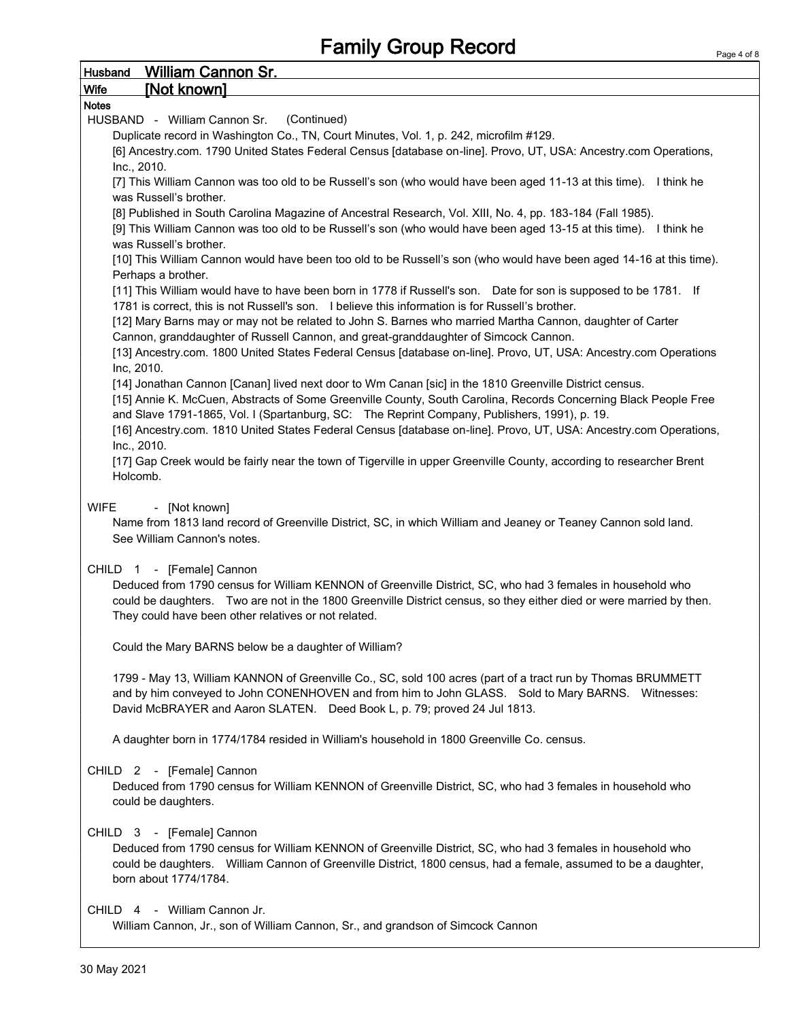| <b>William Cannon Sr.</b><br>Husband                                                                                                                                                                                      |
|---------------------------------------------------------------------------------------------------------------------------------------------------------------------------------------------------------------------------|
| [Not known]<br><b>Wife</b>                                                                                                                                                                                                |
| <b>Notes</b>                                                                                                                                                                                                              |
| (Continued)<br>HUSBAND - William Cannon Sr.                                                                                                                                                                               |
| Duplicate record in Washington Co., TN, Court Minutes, Vol. 1, p. 242, microfilm #129.                                                                                                                                    |
| [6] Ancestry.com. 1790 United States Federal Census [database on-line]. Provo, UT, USA: Ancestry.com Operations,                                                                                                          |
| Inc., 2010.<br>[7] This William Cannon was too old to be Russell's son (who would have been aged 11-13 at this time). I think he                                                                                          |
| was Russell's brother.                                                                                                                                                                                                    |
| [8] Published in South Carolina Magazine of Ancestral Research, Vol. XIII, No. 4, pp. 183-184 (Fall 1985).                                                                                                                |
| [9] This William Cannon was too old to be Russell's son (who would have been aged 13-15 at this time). I think he                                                                                                         |
| was Russell's brother.                                                                                                                                                                                                    |
| [10] This William Cannon would have been too old to be Russell's son (who would have been aged 14-16 at this time).                                                                                                       |
| Perhaps a brother.                                                                                                                                                                                                        |
| [11] This William would have to have been born in 1778 if Russell's son. Date for son is supposed to be 1781. If                                                                                                          |
| 1781 is correct, this is not Russell's son. I believe this information is for Russell's brother.                                                                                                                          |
| [12] Mary Barns may or may not be related to John S. Barnes who married Martha Cannon, daughter of Carter                                                                                                                 |
| Cannon, granddaughter of Russell Cannon, and great-granddaughter of Simcock Cannon.                                                                                                                                       |
| [13] Ancestry.com. 1800 United States Federal Census [database on-line]. Provo, UT, USA: Ancestry.com Operations                                                                                                          |
| Inc, 2010.                                                                                                                                                                                                                |
| [14] Jonathan Cannon [Canan] lived next door to Wm Canan [sic] in the 1810 Greenville District census.<br>[15] Annie K. McCuen, Abstracts of Some Greenville County, South Carolina, Records Concerning Black People Free |
| and Slave 1791-1865, Vol. I (Spartanburg, SC: The Reprint Company, Publishers, 1991), p. 19.                                                                                                                              |
| [16] Ancestry.com. 1810 United States Federal Census [database on-line]. Provo, UT, USA: Ancestry.com Operations,                                                                                                         |
| Inc., 2010.                                                                                                                                                                                                               |
| [17] Gap Creek would be fairly near the town of Tigerville in upper Greenville County, according to researcher Brent                                                                                                      |
| Holcomb.                                                                                                                                                                                                                  |
|                                                                                                                                                                                                                           |
| <b>WIFE</b><br>- [Not known]                                                                                                                                                                                              |
| Name from 1813 land record of Greenville District, SC, in which William and Jeaney or Teaney Cannon sold land.                                                                                                            |
| See William Cannon's notes.                                                                                                                                                                                               |
|                                                                                                                                                                                                                           |
| CHILD 1 - [Female] Cannon<br>Deduced from 1790 census for William KENNON of Greenville District, SC, who had 3 females in household who                                                                                   |
| could be daughters. Two are not in the 1800 Greenville District census, so they either died or were married by then.                                                                                                      |
| They could have been other relatives or not related.                                                                                                                                                                      |
|                                                                                                                                                                                                                           |
| Could the Mary BARNS below be a daughter of William?                                                                                                                                                                      |
|                                                                                                                                                                                                                           |
| 1799 - May 13, William KANNON of Greenville Co., SC, sold 100 acres (part of a tract run by Thomas BRUMMETT                                                                                                               |
| and by him conveyed to John CONENHOVEN and from him to John GLASS. Sold to Mary BARNS. Witnesses:                                                                                                                         |
| David McBRAYER and Aaron SLATEN. Deed Book L, p. 79; proved 24 Jul 1813.                                                                                                                                                  |
|                                                                                                                                                                                                                           |
| A daughter born in 1774/1784 resided in William's household in 1800 Greenville Co. census.                                                                                                                                |
|                                                                                                                                                                                                                           |
| CHILD 2 - [Female] Cannon                                                                                                                                                                                                 |
| Deduced from 1790 census for William KENNON of Greenville District, SC, who had 3 females in household who                                                                                                                |
| could be daughters.                                                                                                                                                                                                       |
| CHILD 3 - [Female] Cannon                                                                                                                                                                                                 |
| Deduced from 1790 census for William KENNON of Greenville District, SC, who had 3 females in household who                                                                                                                |
| could be daughters. William Cannon of Greenville District, 1800 census, had a female, assumed to be a daughter,                                                                                                           |
| born about 1774/1784.                                                                                                                                                                                                     |
|                                                                                                                                                                                                                           |
| CHILD 4 - William Cannon Jr.                                                                                                                                                                                              |
| William Cannon, Jr., son of William Cannon, Sr., and grandson of Simcock Cannon                                                                                                                                           |
|                                                                                                                                                                                                                           |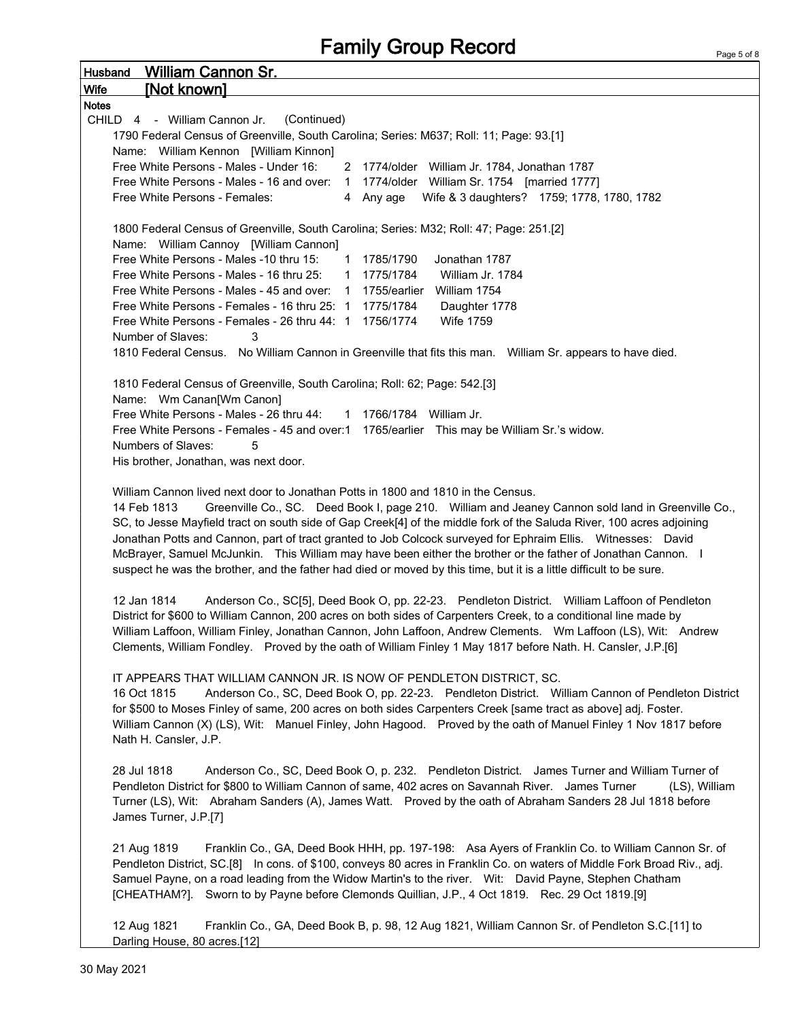| <u>William Cannon Sr.</u><br><b>Husband</b>                                                                                                                                                                                                                                                                                                                                                                                                                                                                                                                                                                                                                                                                                                                                     |
|---------------------------------------------------------------------------------------------------------------------------------------------------------------------------------------------------------------------------------------------------------------------------------------------------------------------------------------------------------------------------------------------------------------------------------------------------------------------------------------------------------------------------------------------------------------------------------------------------------------------------------------------------------------------------------------------------------------------------------------------------------------------------------|
| [Not known]<br><b>Wife</b>                                                                                                                                                                                                                                                                                                                                                                                                                                                                                                                                                                                                                                                                                                                                                      |
| <b>Notes</b>                                                                                                                                                                                                                                                                                                                                                                                                                                                                                                                                                                                                                                                                                                                                                                    |
| CHILD 4 - William Cannon Jr.<br>(Continued)                                                                                                                                                                                                                                                                                                                                                                                                                                                                                                                                                                                                                                                                                                                                     |
| 1790 Federal Census of Greenville, South Carolina; Series: M637; Roll: 11; Page: 93.[1]                                                                                                                                                                                                                                                                                                                                                                                                                                                                                                                                                                                                                                                                                         |
| Name: William Kennon [William Kinnon]                                                                                                                                                                                                                                                                                                                                                                                                                                                                                                                                                                                                                                                                                                                                           |
| Free White Persons - Males - Under 16:<br>2 1774/older William Jr. 1784, Jonathan 1787                                                                                                                                                                                                                                                                                                                                                                                                                                                                                                                                                                                                                                                                                          |
| Free White Persons - Males - 16 and over: 1 1774/older William Sr. 1754 [married 1777]                                                                                                                                                                                                                                                                                                                                                                                                                                                                                                                                                                                                                                                                                          |
| Wife & 3 daughters? 1759; 1778, 1780, 1782<br>Free White Persons - Females:<br>4 Any age                                                                                                                                                                                                                                                                                                                                                                                                                                                                                                                                                                                                                                                                                        |
| 1800 Federal Census of Greenville, South Carolina; Series: M32; Roll: 47; Page: 251.[2]<br>Name: William Cannoy [William Cannon]                                                                                                                                                                                                                                                                                                                                                                                                                                                                                                                                                                                                                                                |
| Free White Persons - Males -10 thru 15:<br>1 1785/1790<br>Jonathan 1787                                                                                                                                                                                                                                                                                                                                                                                                                                                                                                                                                                                                                                                                                                         |
| Free White Persons - Males - 16 thru 25:<br>1 1775/1784<br>William Jr. 1784                                                                                                                                                                                                                                                                                                                                                                                                                                                                                                                                                                                                                                                                                                     |
| Free White Persons - Males - 45 and over: 1 1755/earlier William 1754                                                                                                                                                                                                                                                                                                                                                                                                                                                                                                                                                                                                                                                                                                           |
| Free White Persons - Females - 16 thru 25: 1 1775/1784<br>Daughter 1778                                                                                                                                                                                                                                                                                                                                                                                                                                                                                                                                                                                                                                                                                                         |
| Free White Persons - Females - 26 thru 44: 1 1756/1774<br><b>Wife 1759</b>                                                                                                                                                                                                                                                                                                                                                                                                                                                                                                                                                                                                                                                                                                      |
| Number of Slaves:<br>3                                                                                                                                                                                                                                                                                                                                                                                                                                                                                                                                                                                                                                                                                                                                                          |
| 1810 Federal Census. No William Cannon in Greenville that fits this man. William Sr. appears to have died.                                                                                                                                                                                                                                                                                                                                                                                                                                                                                                                                                                                                                                                                      |
|                                                                                                                                                                                                                                                                                                                                                                                                                                                                                                                                                                                                                                                                                                                                                                                 |
| 1810 Federal Census of Greenville, South Carolina; Roll: 62; Page: 542.[3]                                                                                                                                                                                                                                                                                                                                                                                                                                                                                                                                                                                                                                                                                                      |
| Name: Wm Canan[Wm Canon]                                                                                                                                                                                                                                                                                                                                                                                                                                                                                                                                                                                                                                                                                                                                                        |
| Free White Persons - Males - 26 thru 44:<br>1 1766/1784 William Jr.                                                                                                                                                                                                                                                                                                                                                                                                                                                                                                                                                                                                                                                                                                             |
| Free White Persons - Females - 45 and over:1 1765/earlier This may be William Sr.'s widow.                                                                                                                                                                                                                                                                                                                                                                                                                                                                                                                                                                                                                                                                                      |
| Numbers of Slaves:<br>5                                                                                                                                                                                                                                                                                                                                                                                                                                                                                                                                                                                                                                                                                                                                                         |
| His brother, Jonathan, was next door.                                                                                                                                                                                                                                                                                                                                                                                                                                                                                                                                                                                                                                                                                                                                           |
|                                                                                                                                                                                                                                                                                                                                                                                                                                                                                                                                                                                                                                                                                                                                                                                 |
| William Cannon lived next door to Jonathan Potts in 1800 and 1810 in the Census.<br>Greenville Co., SC. Deed Book I, page 210. William and Jeaney Cannon sold land in Greenville Co.,<br>14 Feb 1813<br>SC, to Jesse Mayfield tract on south side of Gap Creek[4] of the middle fork of the Saluda River, 100 acres adjoining<br>Jonathan Potts and Cannon, part of tract granted to Job Colcock surveyed for Ephraim Ellis.  Witnesses: David<br>McBrayer, Samuel McJunkin. This William may have been either the brother or the father of Jonathan Cannon. I<br>suspect he was the brother, and the father had died or moved by this time, but it is a little difficult to be sure.                                                                                           |
| Anderson Co., SC[5], Deed Book O, pp. 22-23. Pendleton District. William Laffoon of Pendleton<br>12 Jan 1814<br>District for \$600 to William Cannon, 200 acres on both sides of Carpenters Creek, to a conditional line made by<br>William Laffoon, William Finley, Jonathan Cannon, John Laffoon, Andrew Clements. Wm Laffoon (LS), Wit: Andrew<br>Clements, William Fondley. Proved by the oath of William Finley 1 May 1817 before Nath. H. Cansler, J.P.[6]<br>IT APPEARS THAT WILLIAM CANNON JR. IS NOW OF PENDLETON DISTRICT, SC.<br>16 Oct 1815<br>Anderson Co., SC, Deed Book O, pp. 22-23. Pendleton District. William Cannon of Pendleton District<br>for \$500 to Moses Finley of same, 200 acres on both sides Carpenters Creek [same tract as above] adj. Foster. |
| William Cannon (X) (LS), Wit: Manuel Finley, John Hagood. Proved by the oath of Manuel Finley 1 Nov 1817 before<br>Nath H. Cansler, J.P.                                                                                                                                                                                                                                                                                                                                                                                                                                                                                                                                                                                                                                        |
| 28 Jul 1818<br>Anderson Co., SC, Deed Book O, p. 232. Pendleton District. James Turner and William Turner of<br>Pendleton District for \$800 to William Cannon of same, 402 acres on Savannah River. James Turner<br>(LS), William<br>Turner (LS), Wit: Abraham Sanders (A), James Watt. Proved by the oath of Abraham Sanders 28 Jul 1818 before<br>James Turner, J.P.[7]                                                                                                                                                                                                                                                                                                                                                                                                      |
| 21 Aug 1819<br>Franklin Co., GA, Deed Book HHH, pp. 197-198: Asa Ayers of Franklin Co. to William Cannon Sr. of<br>Pendleton District, SC.[8] In cons. of \$100, conveys 80 acres in Franklin Co. on waters of Middle Fork Broad Riv., adj.<br>Samuel Payne, on a road leading from the Widow Martin's to the river. Wit: David Payne, Stephen Chatham<br>[CHEATHAM?]. Sworn to by Payne before Clemonds Quillian, J.P., 4 Oct 1819. Rec. 29 Oct 1819.[9]                                                                                                                                                                                                                                                                                                                       |
| 12 Aug 1821<br>Franklin Co., GA, Deed Book B, p. 98, 12 Aug 1821, William Cannon Sr. of Pendleton S.C.[11] to<br>Darling House, 80 acres.[12]                                                                                                                                                                                                                                                                                                                                                                                                                                                                                                                                                                                                                                   |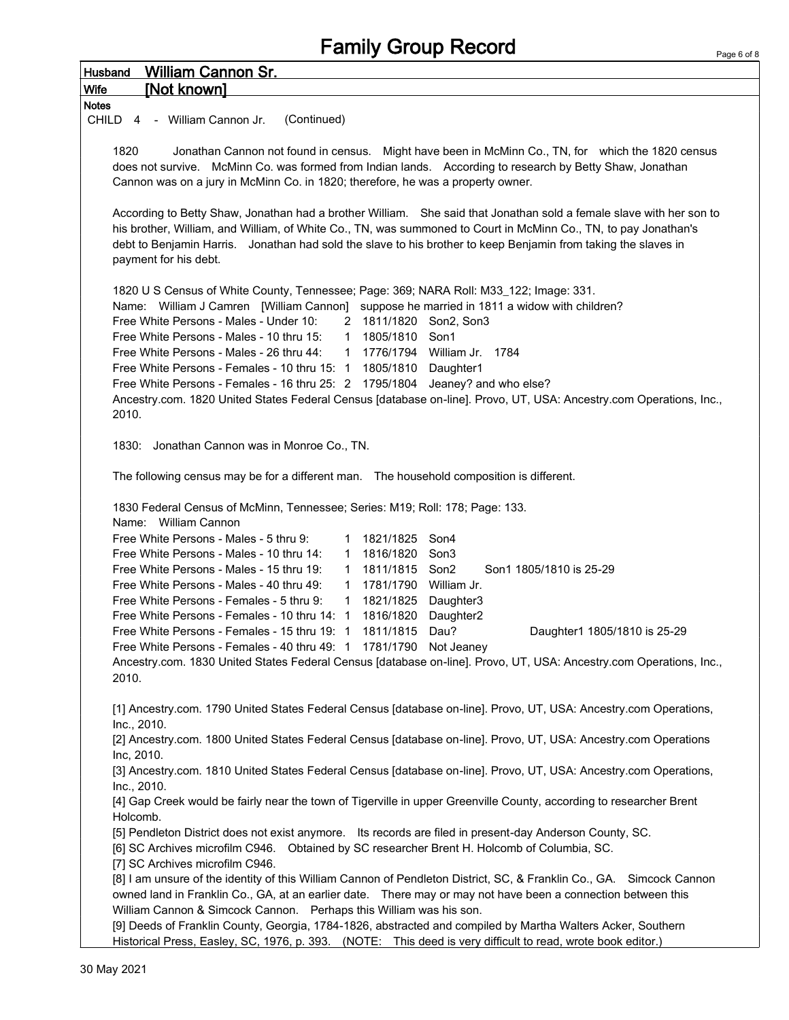| <b>William Cannon Sr.</b><br><b>Husband</b>                                                                          |
|----------------------------------------------------------------------------------------------------------------------|
| [Not known]<br>Wife                                                                                                  |
| <b>Notes</b>                                                                                                         |
| (Continued)<br>CHILD 4 - William Cannon Jr.                                                                          |
|                                                                                                                      |
| 1820<br>Jonathan Cannon not found in census. Might have been in McMinn Co., TN, for which the 1820 census            |
| does not survive. McMinn Co. was formed from Indian lands. According to research by Betty Shaw, Jonathan             |
| Cannon was on a jury in McMinn Co. in 1820; therefore, he was a property owner.                                      |
|                                                                                                                      |
| According to Betty Shaw, Jonathan had a brother William. She said that Jonathan sold a female slave with her son to  |
| his brother, William, and William, of White Co., TN, was summoned to Court in McMinn Co., TN, to pay Jonathan's      |
| debt to Benjamin Harris. Jonathan had sold the slave to his brother to keep Benjamin from taking the slaves in       |
| payment for his debt.                                                                                                |
|                                                                                                                      |
| 1820 U S Census of White County, Tennessee; Page: 369; NARA Roll: M33_122; Image: 331.                               |
| Name: William J Camren [William Cannon] suppose he married in 1811 a widow with children?                            |
| Free White Persons - Males - Under 10:<br>2 1811/1820 Son2, Son3                                                     |
| Free White Persons - Males - 10 thru 15:<br>1805/1810<br>$\mathbf{1}$<br>Son1                                        |
| Free White Persons - Males - 26 thru 44:<br>1 1776/1794 William Jr. 1784                                             |
| Free White Persons - Females - 10 thru 15: 1<br>1805/1810 Daughter1                                                  |
| Free White Persons - Females - 16 thru 25: 2 1795/1804 Jeaney? and who else?                                         |
| Ancestry.com. 1820 United States Federal Census [database on-line]. Provo, UT, USA: Ancestry.com Operations, Inc.,   |
| 2010.                                                                                                                |
|                                                                                                                      |
| 1830: Jonathan Cannon was in Monroe Co., TN.                                                                         |
|                                                                                                                      |
| The following census may be for a different man. The household composition is different.                             |
|                                                                                                                      |
| 1830 Federal Census of McMinn, Tennessee; Series: M19; Roll: 178; Page: 133.                                         |
| Name: William Cannon                                                                                                 |
| Free White Persons - Males - 5 thru 9:<br>1821/1825 Son4<br>$\mathbf{1}$                                             |
| Free White Persons - Males - 10 thru 14:<br>1816/1820<br>Son <sub>3</sub><br>1                                       |
| 1811/1815 Son2<br>Free White Persons - Males - 15 thru 19:<br>Son1 1805/1810 is 25-29<br>$\mathbf{1}$                |
| 1781/1790 William Jr.<br>Free White Persons - Males - 40 thru 49:<br>$\mathbf{1}$                                    |
| Free White Persons - Females - 5 thru 9:<br>1821/1825 Daughter3<br>$\mathbf{1}$                                      |
| Free White Persons - Females - 10 thru 14: 1<br>1816/1820<br>Daughter <sub>2</sub>                                   |
| 1811/1815 Dau?<br>Free White Persons - Females - 15 thru 19: 1<br>Daughter1 1805/1810 is 25-29                       |
| Free White Persons - Females - 40 thru 49: 1 1781/1790 Not Jeaney                                                    |
| Ancestry.com. 1830 United States Federal Census [database on-line]. Provo, UT, USA: Ancestry.com Operations, Inc.,   |
| 2010.                                                                                                                |
|                                                                                                                      |
| [1] Ancestry.com. 1790 United States Federal Census [database on-line]. Provo, UT, USA: Ancestry.com Operations,     |
| Inc., 2010.                                                                                                          |
| [2] Ancestry.com. 1800 United States Federal Census [database on-line]. Provo, UT, USA: Ancestry.com Operations      |
| Inc, 2010.                                                                                                           |
| [3] Ancestry.com. 1810 United States Federal Census [database on-line]. Provo, UT, USA: Ancestry.com Operations,     |
| Inc., 2010.                                                                                                          |
| [4] Gap Creek would be fairly near the town of Tigerville in upper Greenville County, according to researcher Brent  |
| Holcomb.                                                                                                             |
| [5] Pendleton District does not exist anymore. Its records are filed in present-day Anderson County, SC.             |
| [6] SC Archives microfilm C946. Obtained by SC researcher Brent H. Holcomb of Columbia, SC.                          |
| [7] SC Archives microfilm C946.                                                                                      |
| [8] I am unsure of the identity of this William Cannon of Pendleton District, SC, & Franklin Co., GA. Simcock Cannon |
| owned land in Franklin Co., GA, at an earlier date.  There may or may not have been a connection between this        |
| William Cannon & Simcock Cannon. Perhaps this William was his son.                                                   |
| [9] Deeds of Franklin County, Georgia, 1784-1826, abstracted and compiled by Martha Walters Acker, Southern          |
| Historical Press, Easley, SC, 1976, p. 393. (NOTE: This deed is very difficult to read, wrote book editor.)          |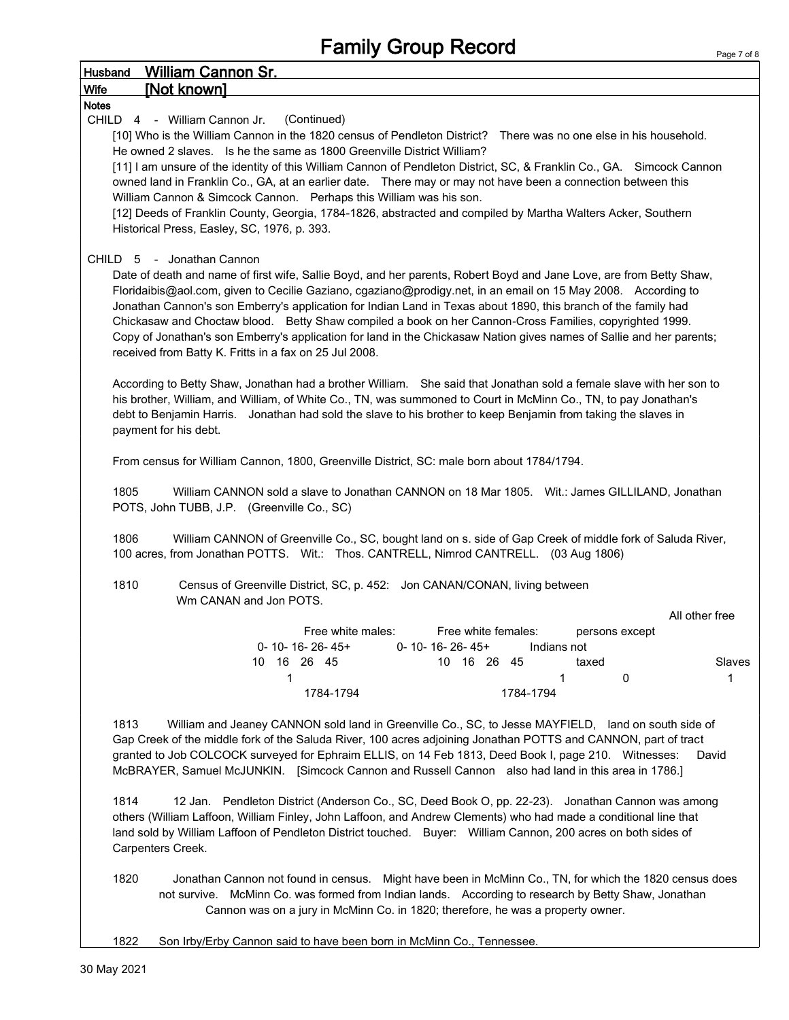| Husband               | <b>William Cannon Sr.</b>                                                                                                                                                                                                                                                                                                                                                                                                                                                                                                                                                                                                                                                                                          |
|-----------------------|--------------------------------------------------------------------------------------------------------------------------------------------------------------------------------------------------------------------------------------------------------------------------------------------------------------------------------------------------------------------------------------------------------------------------------------------------------------------------------------------------------------------------------------------------------------------------------------------------------------------------------------------------------------------------------------------------------------------|
| <b>Wife</b>           | [Not known]                                                                                                                                                                                                                                                                                                                                                                                                                                                                                                                                                                                                                                                                                                        |
| <b>Notes</b><br>CHILD | 4 - William Cannon Jr.<br>(Continued)<br>[10] Who is the William Cannon in the 1820 census of Pendleton District? There was no one else in his household.<br>He owned 2 slaves. Is he the same as 1800 Greenville District William?<br>[11] I am unsure of the identity of this William Cannon of Pendleton District, SC, & Franklin Co., GA. Simcock Cannon<br>owned land in Franklin Co., GA, at an earlier date.  There may or may not have been a connection between this<br>William Cannon & Simcock Cannon. Perhaps this William was his son.<br>[12] Deeds of Franklin County, Georgia, 1784-1826, abstracted and compiled by Martha Walters Acker, Southern<br>Historical Press, Easley, SC, 1976, p. 393. |
|                       | CHILD 5 - Jonathan Cannon<br>Date of death and name of first wife, Sallie Boyd, and her parents, Robert Boyd and Jane Love, are from Betty Shaw,<br>Floridaibis@aol.com, given to Cecilie Gaziano, cgaziano@prodigy.net, in an email on 15 May 2008. According to<br>Jonathan Cannon's son Emberry's application for Indian Land in Texas about 1890, this branch of the family had<br>Chickasaw and Choctaw blood. Betty Shaw compiled a book on her Cannon-Cross Families, copyrighted 1999.<br>Copy of Jonathan's son Emberry's application for land in the Chickasaw Nation gives names of Sallie and her parents;<br>received from Batty K. Fritts in a fax on 25 Jul 2008.                                   |
|                       | According to Betty Shaw, Jonathan had a brother William. She said that Jonathan sold a female slave with her son to<br>his brother, William, and William, of White Co., TN, was summoned to Court in McMinn Co., TN, to pay Jonathan's<br>debt to Benjamin Harris. Jonathan had sold the slave to his brother to keep Benjamin from taking the slaves in<br>payment for his debt.                                                                                                                                                                                                                                                                                                                                  |
| 1805                  | From census for William Cannon, 1800, Greenville District, SC: male born about 1784/1794.<br>William CANNON sold a slave to Jonathan CANNON on 18 Mar 1805. Wit.: James GILLILAND, Jonathan<br>POTS, John TUBB, J.P. (Greenville Co., SC)                                                                                                                                                                                                                                                                                                                                                                                                                                                                          |
| 1806                  | William CANNON of Greenville Co., SC, bought land on s. side of Gap Creek of middle fork of Saluda River,<br>100 acres, from Jonathan POTTS. Wit.: Thos. CANTRELL, Nimrod CANTRELL. (03 Aug 1806)                                                                                                                                                                                                                                                                                                                                                                                                                                                                                                                  |
| 1810                  | Census of Greenville District, SC, p. 452: Jon CANAN/CONAN, living between<br>Wm CANAN and Jon POTS.                                                                                                                                                                                                                                                                                                                                                                                                                                                                                                                                                                                                               |
|                       | All other free<br>Free white males:<br>Free white females:<br>persons except<br>0-10-16-26-45+<br>0-10-16-26-45+<br>Indians not<br>10 16 26 45<br>10 16 26 45<br>Slaves<br>taxed<br>1<br>1<br>0<br>1<br>1784-1794<br>1784-1794                                                                                                                                                                                                                                                                                                                                                                                                                                                                                     |
| 1813                  | William and Jeaney CANNON sold land in Greenville Co., SC, to Jesse MAYFIELD, land on south side of<br>Gap Creek of the middle fork of the Saluda River, 100 acres adjoining Jonathan POTTS and CANNON, part of tract<br>granted to Job COLCOCK surveyed for Ephraim ELLIS, on 14 Feb 1813, Deed Book I, page 210. Witnesses:<br>David<br>McBRAYER, Samuel McJUNKIN. [Simcock Cannon and Russell Cannon also had land in this area in 1786.]                                                                                                                                                                                                                                                                       |
| 1814                  | 12 Jan. Pendleton District (Anderson Co., SC, Deed Book O, pp. 22-23). Jonathan Cannon was among<br>others (William Laffoon, William Finley, John Laffoon, and Andrew Clements) who had made a conditional line that<br>land sold by William Laffoon of Pendleton District touched. Buyer: William Cannon, 200 acres on both sides of<br>Carpenters Creek.                                                                                                                                                                                                                                                                                                                                                         |
| 1820                  | Jonathan Cannon not found in census. Might have been in McMinn Co., TN, for which the 1820 census does<br>not survive. McMinn Co. was formed from Indian lands. According to research by Betty Shaw, Jonathan                                                                                                                                                                                                                                                                                                                                                                                                                                                                                                      |

Cannon was on a jury in McMinn Co. in 1820; therefore, he was a property owner.

1822 Son Irby/Erby Cannon said to have been born in McMinn Co., Tennessee.